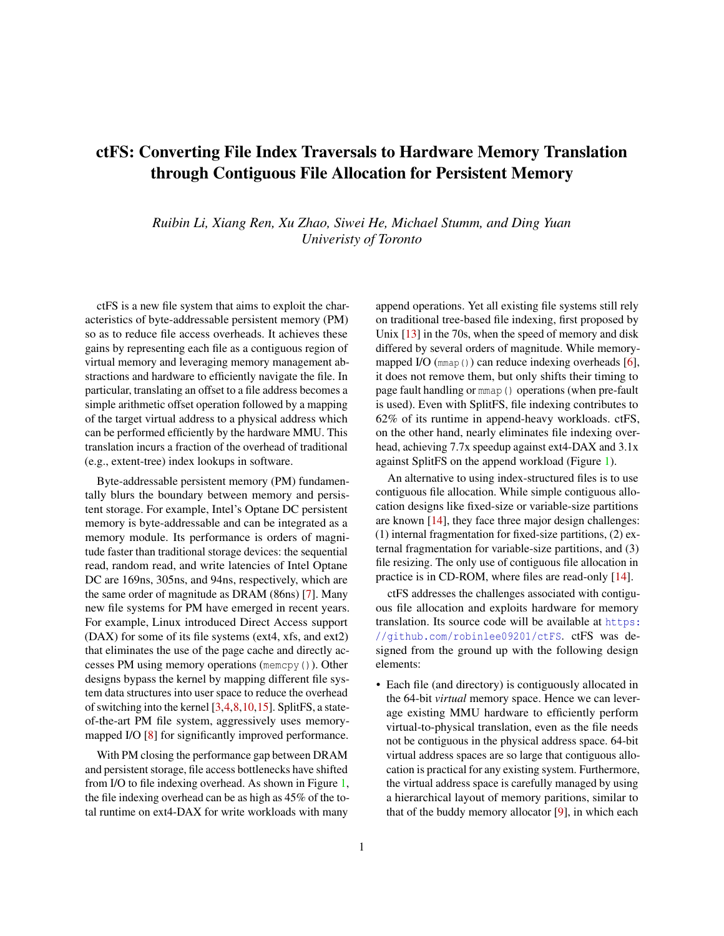# ctFS: Converting File Index Traversals to Hardware Memory Translation through Contiguous File Allocation for Persistent Memory

*Ruibin Li, Xiang Ren, Xu Zhao, Siwei He, Michael Stumm, and Ding Yuan Univeristy of Toronto*

ctFS is a new file system that aims to exploit the characteristics of byte-addressable persistent memory (PM) so as to reduce file access overheads. It achieves these gains by representing each file as a contiguous region of virtual memory and leveraging memory management abstractions and hardware to efficiently navigate the file. In particular, translating an offset to a file address becomes a simple arithmetic offset operation followed by a mapping of the target virtual address to a physical address which can be performed efficiently by the hardware MMU. This translation incurs a fraction of the overhead of traditional (e.g., extent-tree) index lookups in software.

Byte-addressable persistent memory (PM) fundamentally blurs the boundary between memory and persistent storage. For example, Intel's Optane DC persistent memory is byte-addressable and can be integrated as a memory module. Its performance is orders of magnitude faster than traditional storage devices: the sequential read, random read, and write latencies of Intel Optane DC are 169ns, 305ns, and 94ns, respectively, which are the same order of magnitude as DRAM (86ns) [\[7\]](#page-6-0). Many new file systems for PM have emerged in recent years. For example, Linux introduced Direct Access support (DAX) for some of its file systems (ext4, xfs, and ext2) that eliminates the use of the page cache and directly accesses PM using memory operations (memcpy()). Other designs bypass the kernel by mapping different file system data structures into user space to reduce the overhead of switching into the kernel [\[3,](#page-6-1)[4,](#page-6-2)[8](#page-6-3)[,10,](#page-6-4)[15\]](#page-6-5). SplitFS, a stateof-the-art PM file system, aggressively uses memorymapped I/O [\[8\]](#page-6-3) for significantly improved performance.

With PM closing the performance gap between DRAM and persistent storage, file access bottlenecks have shifted from I/O to file indexing overhead. As shown in Figure [1,](#page-2-0) the file indexing overhead can be as high as 45% of the total runtime on ext4-DAX for write workloads with many

append operations. Yet all existing file systems still rely on traditional tree-based file indexing, first proposed by Unix  $[13]$  in the 70s, when the speed of memory and disk differed by several orders of magnitude. While memorymapped I/O  $(\text{mmap}())$  can reduce indexing overheads [\[6\]](#page-6-7), it does not remove them, but only shifts their timing to page fault handling or mmap() operations (when pre-fault is used). Even with SplitFS, file indexing contributes to 62% of its runtime in append-heavy workloads. ctFS, on the other hand, nearly eliminates file indexing overhead, achieving 7.7x speedup against ext4-DAX and 3.1x against SplitFS on the append workload (Figure [1\)](#page-2-0).

An alternative to using index-structured files is to use contiguous file allocation. While simple contiguous allocation designs like fixed-size or variable-size partitions are known [\[14\]](#page-6-8), they face three major design challenges: (1) internal fragmentation for fixed-size partitions, (2) external fragmentation for variable-size partitions, and (3) file resizing. The only use of contiguous file allocation in practice is in CD-ROM, where files are read-only [\[14\]](#page-6-8).

ctFS addresses the challenges associated with contiguous file allocation and exploits hardware for memory translation. Its source code will be available at [https:](https://github.com/robinlee09201/ctFS) [//github.com/robinlee09201/ctFS](https://github.com/robinlee09201/ctFS). ctFS was designed from the ground up with the following design elements:

• Each file (and directory) is contiguously allocated in the 64-bit *virtual* memory space. Hence we can leverage existing MMU hardware to efficiently perform virtual-to-physical translation, even as the file needs not be contiguous in the physical address space. 64-bit virtual address spaces are so large that contiguous allocation is practical for any existing system. Furthermore, the virtual address space is carefully managed by using a hierarchical layout of memory paritions, similar to that of the buddy memory allocator [\[9\]](#page-6-9), in which each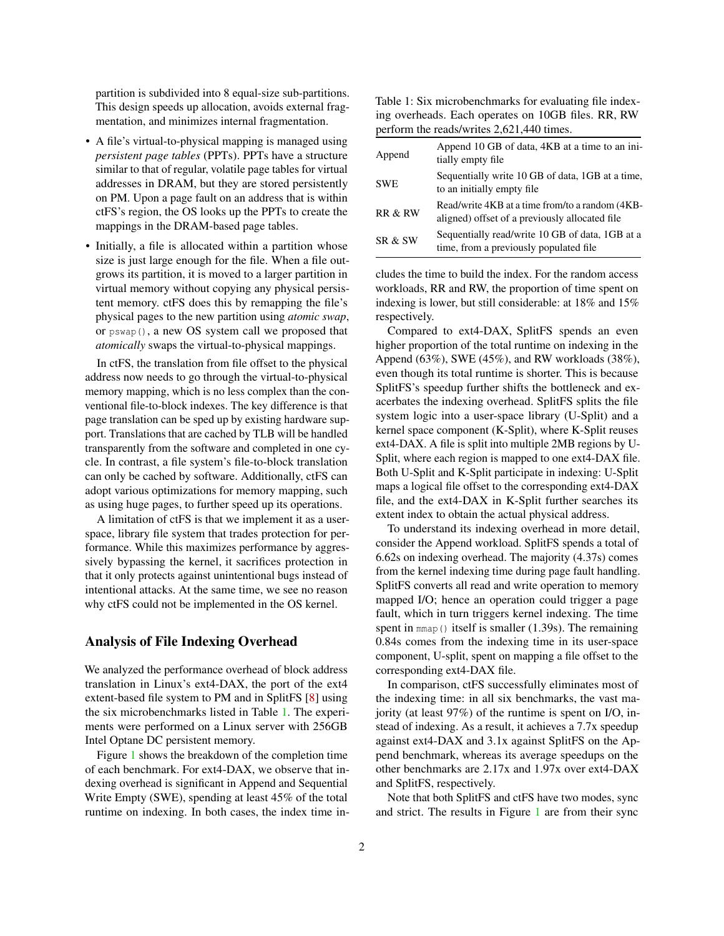partition is subdivided into 8 equal-size sub-partitions. This design speeds up allocation, avoids external fragmentation, and minimizes internal fragmentation.

- A file's virtual-to-physical mapping is managed using *persistent page tables* (PPTs). PPTs have a structure similar to that of regular, volatile page tables for virtual addresses in DRAM, but they are stored persistently on PM. Upon a page fault on an address that is within ctFS's region, the OS looks up the PPTs to create the mappings in the DRAM-based page tables.
- Initially, a file is allocated within a partition whose size is just large enough for the file. When a file outgrows its partition, it is moved to a larger partition in virtual memory without copying any physical persistent memory. ctFS does this by remapping the file's physical pages to the new partition using *atomic swap*, or pswap(), a new OS system call we proposed that *atomically* swaps the virtual-to-physical mappings.

In ctFS, the translation from file offset to the physical address now needs to go through the virtual-to-physical memory mapping, which is no less complex than the conventional file-to-block indexes. The key difference is that page translation can be sped up by existing hardware support. Translations that are cached by TLB will be handled transparently from the software and completed in one cycle. In contrast, a file system's file-to-block translation can only be cached by software. Additionally, ctFS can adopt various optimizations for memory mapping, such as using huge pages, to further speed up its operations.

A limitation of ctFS is that we implement it as a userspace, library file system that trades protection for performance. While this maximizes performance by aggressively bypassing the kernel, it sacrifices protection in that it only protects against unintentional bugs instead of intentional attacks. At the same time, we see no reason why ctFS could not be implemented in the OS kernel.

#### Analysis of File Indexing Overhead

We analyzed the performance overhead of block address translation in Linux's ext4-DAX, the port of the ext4 extent-based file system to PM and in SplitFS [\[8\]](#page-6-3) using the six microbenchmarks listed in Table [1.](#page-1-0) The experiments were performed on a Linux server with 256GB Intel Optane DC persistent memory.

Figure [1](#page-2-0) shows the breakdown of the completion time of each benchmark. For ext4-DAX, we observe that indexing overhead is significant in Append and Sequential Write Empty (SWE), spending at least 45% of the total runtime on indexing. In both cases, the index time in-

<span id="page-1-0"></span>Table 1: Six microbenchmarks for evaluating file indexing overheads. Each operates on 10GB files. RR, RW perform the reads/writes 2,621,440 times.

| Append     | Append 10 GB of data, 4KB at a time to an ini-<br>tially empty file                               |
|------------|---------------------------------------------------------------------------------------------------|
| <b>SWE</b> | Sequentially write 10 GB of data, 1 GB at a time,<br>to an initially empty file.                  |
| RR & RW    | Read/write 4KB at a time from/to a random (4KB-<br>aligned) offset of a previously allocated file |
| SR & SW    | Sequentially read/write 10 GB of data, 1GB at a<br>time, from a previously populated file         |

cludes the time to build the index. For the random access workloads, RR and RW, the proportion of time spent on indexing is lower, but still considerable: at 18% and 15% respectively.

Compared to ext4-DAX, SplitFS spends an even higher proportion of the total runtime on indexing in the Append (63%), SWE (45%), and RW workloads (38%), even though its total runtime is shorter. This is because SplitFS's speedup further shifts the bottleneck and exacerbates the indexing overhead. SplitFS splits the file system logic into a user-space library (U-Split) and a kernel space component (K-Split), where K-Split reuses ext4-DAX. A file is split into multiple 2MB regions by U-Split, where each region is mapped to one ext4-DAX file. Both U-Split and K-Split participate in indexing: U-Split maps a logical file offset to the corresponding ext4-DAX file, and the ext4-DAX in K-Split further searches its extent index to obtain the actual physical address.

To understand its indexing overhead in more detail, consider the Append workload. SplitFS spends a total of 6.62s on indexing overhead. The majority (4.37s) comes from the kernel indexing time during page fault handling. SplitFS converts all read and write operation to memory mapped I/O; hence an operation could trigger a page fault, which in turn triggers kernel indexing. The time spent in mmap() itself is smaller (1.39s). The remaining 0.84s comes from the indexing time in its user-space component, U-split, spent on mapping a file offset to the corresponding ext4-DAX file.

In comparison, ctFS successfully eliminates most of the indexing time: in all six benchmarks, the vast majority (at least 97%) of the runtime is spent on I/O, instead of indexing. As a result, it achieves a 7.7x speedup against ext4-DAX and 3.1x against SplitFS on the Append benchmark, whereas its average speedups on the other benchmarks are 2.17x and 1.97x over ext4-DAX and SplitFS, respectively.

Note that both SplitFS and ctFS have two modes, sync and strict. The results in Figure [1](#page-2-0) are from their sync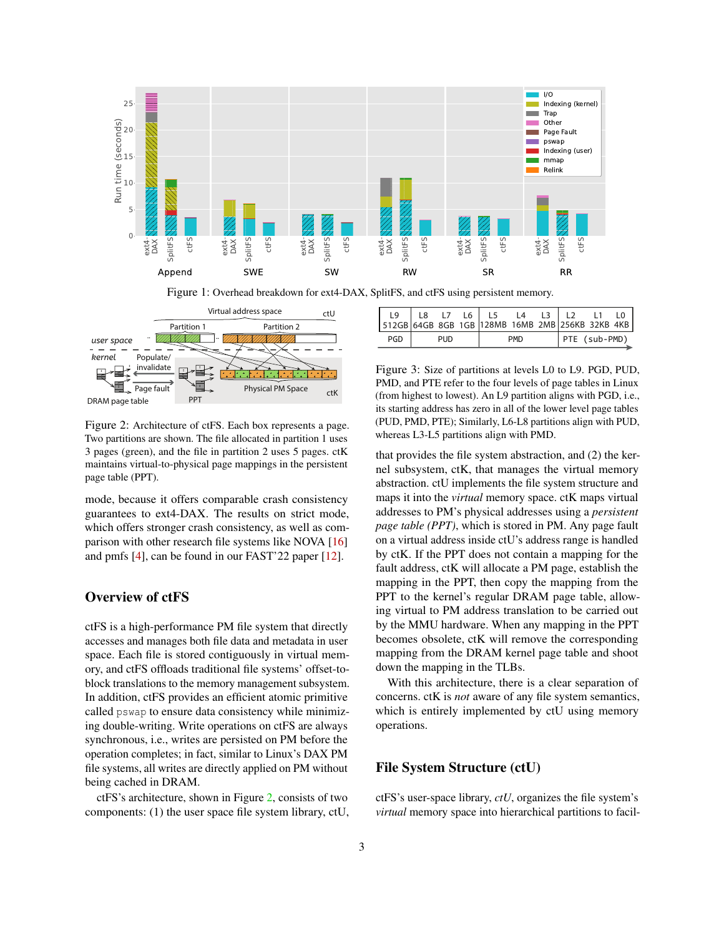

<span id="page-2-0"></span>

<span id="page-2-1"></span>Figure 2: Architecture of ctFS. Each box represents a page. Two partitions are shown. The file allocated in partition 1 uses 3 pages (green), and the file in partition 2 uses 5 pages. ctK maintains virtual-to-physical page mappings in the persistent page table (PPT).

mode, because it offers comparable crash consistency guarantees to ext4-DAX. The results on strict mode, which offers stronger crash consistency, as well as comparison with other research file systems like NOVA [\[16\]](#page-6-10) and pmfs [\[4\]](#page-6-2), can be found in our FAST'22 paper [\[12\]](#page-6-11).

## Overview of ctFS

ctFS is a high-performance PM file system that directly accesses and manages both file data and metadata in user space. Each file is stored contiguously in virtual memory, and ctFS offloads traditional file systems' offset-toblock translations to the memory management subsystem. In addition, ctFS provides an efficient atomic primitive called pswap to ensure data consistency while minimizing double-writing. Write operations on ctFS are always synchronous, i.e., writes are persisted on PM before the operation completes; in fact, similar to Linux's DAX PM file systems, all writes are directly applied on PM without being cached in DRAM.

ctFS's architecture, shown in Figure [2,](#page-2-1) consists of two components: (1) the user space file system library, ctU,

| 19<br>512GB 64GB 8GB 1GB 128MB 16MB 2MB 256KB 32KB 4KB | 18  |  | L7 L6 |            | L4 |  |               |  |  |
|--------------------------------------------------------|-----|--|-------|------------|----|--|---------------|--|--|
| PGD                                                    | PUD |  |       | <b>PMD</b> |    |  | PTE (sub-PMD) |  |  |

<span id="page-2-2"></span>Figure 3: Size of partitions at levels L0 to L9. PGD, PUD, PMD, and PTE refer to the four levels of page tables in Linux (from highest to lowest). An L9 partition aligns with PGD, i.e., its starting address has zero in all of the lower level page tables (PUD, PMD, PTE); Similarly, L6-L8 partitions align with PUD, whereas L3-L5 partitions align with PMD.

that provides the file system abstraction, and (2) the kernel subsystem, ctK, that manages the virtual memory abstraction. ctU implements the file system structure and maps it into the *virtual* memory space. ctK maps virtual addresses to PM's physical addresses using a *persistent page table (PPT)*, which is stored in PM. Any page fault on a virtual address inside ctU's address range is handled by ctK. If the PPT does not contain a mapping for the fault address, ctK will allocate a PM page, establish the mapping in the PPT, then copy the mapping from the PPT to the kernel's regular DRAM page table, allowing virtual to PM address translation to be carried out by the MMU hardware. When any mapping in the PPT becomes obsolete, ctK will remove the corresponding mapping from the DRAM kernel page table and shoot down the mapping in the TLBs.

With this architecture, there is a clear separation of concerns. ctK is *not* aware of any file system semantics, which is entirely implemented by ctU using memory operations.

#### File System Structure (ctU)

ctFS's user-space library, *ctU*, organizes the file system's *virtual* memory space into hierarchical partitions to facil-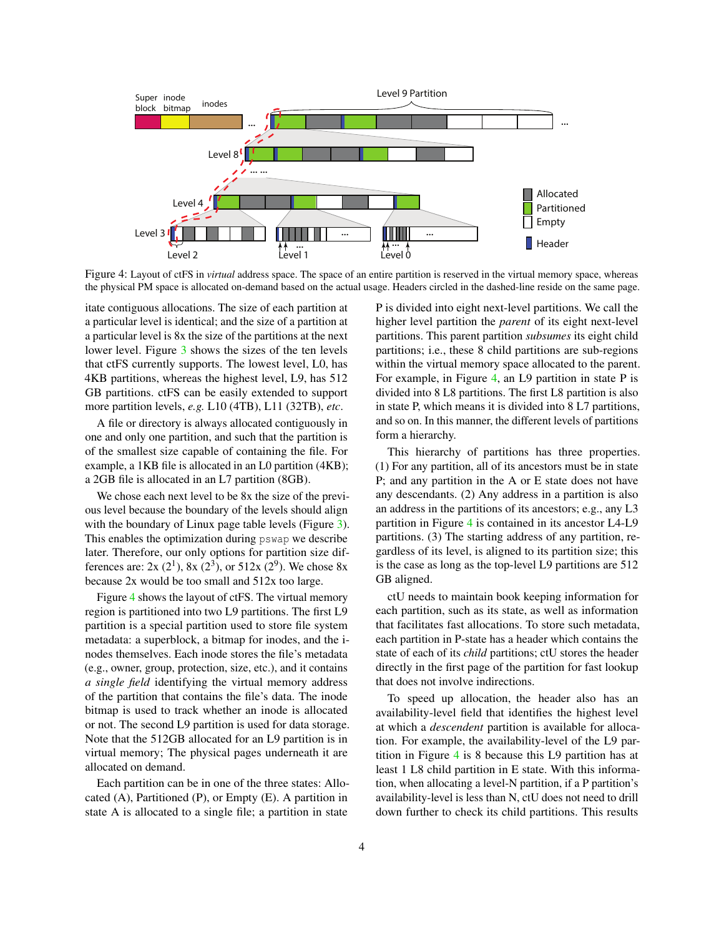

<span id="page-3-0"></span>Figure 4: Layout of ctFS in *virtual* address space. The space of an entire partition is reserved in the virtual memory space, whereas the physical PM space is allocated on-demand based on the actual usage. Headers circled in the dashed-line reside on the same page.

itate contiguous allocations. The size of each partition at a particular level is identical; and the size of a partition at a particular level is 8x the size of the partitions at the next lower level. Figure [3](#page-2-2) shows the sizes of the ten levels that ctFS currently supports. The lowest level, L0, has 4KB partitions, whereas the highest level, L9, has 512 GB partitions. ctFS can be easily extended to support more partition levels, *e.g.* L10 (4TB), L11 (32TB), *etc*.

A file or directory is always allocated contiguously in one and only one partition, and such that the partition is of the smallest size capable of containing the file. For example, a 1KB file is allocated in an L0 partition (4KB); a 2GB file is allocated in an L7 partition (8GB).

We chose each next level to be 8x the size of the previous level because the boundary of the levels should align with the boundary of Linux page table levels (Figure [3\)](#page-2-2). This enables the optimization during pswap we describe later. Therefore, our only options for partition size differences are: 2x (2<sup>1</sup>), 8x (2<sup>3</sup>), or 512x (2<sup>9</sup>). We chose 8x because 2x would be too small and 512x too large.

Figure [4](#page-3-0) shows the layout of ctFS. The virtual memory region is partitioned into two L9 partitions. The first L9 partition is a special partition used to store file system metadata: a superblock, a bitmap for inodes, and the inodes themselves. Each inode stores the file's metadata (e.g., owner, group, protection, size, etc.), and it contains *a single field* identifying the virtual memory address of the partition that contains the file's data. The inode bitmap is used to track whether an inode is allocated or not. The second L9 partition is used for data storage. Note that the 512GB allocated for an L9 partition is in virtual memory; The physical pages underneath it are allocated on demand.

Each partition can be in one of the three states: Allocated (A), Partitioned (P), or Empty (E). A partition in state A is allocated to a single file; a partition in state

P is divided into eight next-level partitions. We call the higher level partition the *parent* of its eight next-level partitions. This parent partition *subsumes* its eight child partitions; i.e., these 8 child partitions are sub-regions within the virtual memory space allocated to the parent. For example, in Figure [4,](#page-3-0) an L9 partition in state P is divided into 8 L8 partitions. The first L8 partition is also in state P, which means it is divided into 8 L7 partitions, and so on. In this manner, the different levels of partitions form a hierarchy.

This hierarchy of partitions has three properties. (1) For any partition, all of its ancestors must be in state P; and any partition in the A or E state does not have any descendants. (2) Any address in a partition is also an address in the partitions of its ancestors; e.g., any L3 partition in Figure [4](#page-3-0) is contained in its ancestor L4-L9 partitions. (3) The starting address of any partition, regardless of its level, is aligned to its partition size; this is the case as long as the top-level L9 partitions are 512 GB aligned.

ctU needs to maintain book keeping information for each partition, such as its state, as well as information that facilitates fast allocations. To store such metadata, each partition in P-state has a header which contains the state of each of its *child* partitions; ctU stores the header directly in the first page of the partition for fast lookup that does not involve indirections.

To speed up allocation, the header also has an availability-level field that identifies the highest level at which a *descendent* partition is available for allocation. For example, the availability-level of the L9 partition in Figure [4](#page-3-0) is 8 because this L9 partition has at least 1 L8 child partition in E state. With this information, when allocating a level-N partition, if a P partition's availability-level is less than N, ctU does not need to drill down further to check its child partitions. This results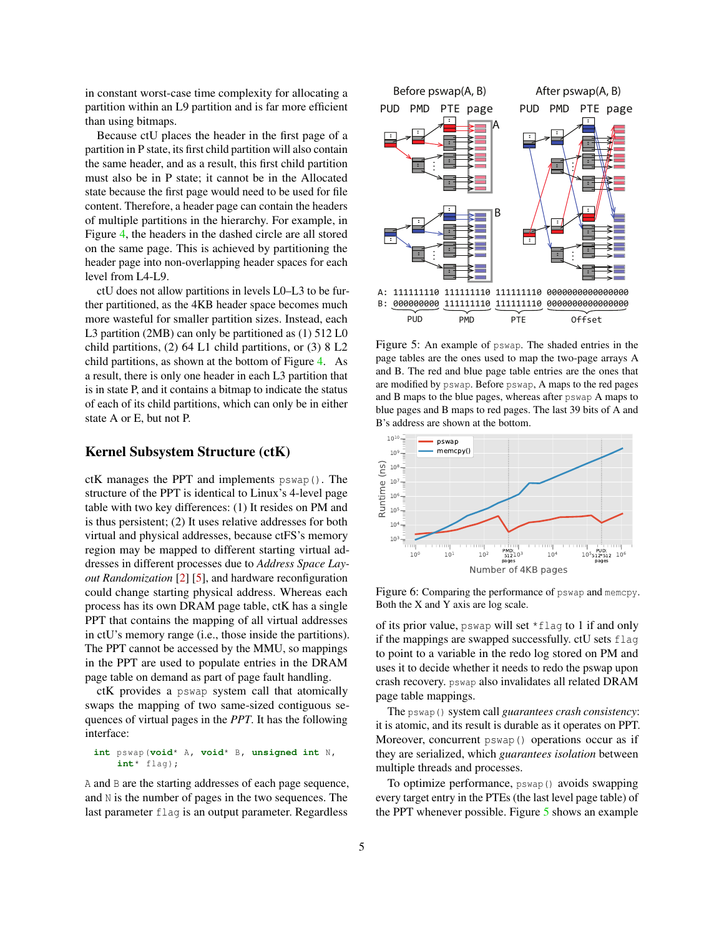in constant worst-case time complexity for allocating a partition within an L9 partition and is far more efficient than using bitmaps.

Because ctU places the header in the first page of a partition in P state, its first child partition will also contain the same header, and as a result, this first child partition must also be in P state; it cannot be in the Allocated state because the first page would need to be used for file content. Therefore, a header page can contain the headers of multiple partitions in the hierarchy. For example, in Figure [4,](#page-3-0) the headers in the dashed circle are all stored on the same page. This is achieved by partitioning the header page into non-overlapping header spaces for each level from L4-L9.

ctU does not allow partitions in levels L0–L3 to be further partitioned, as the 4KB header space becomes much more wasteful for smaller partition sizes. Instead, each L3 partition (2MB) can only be partitioned as (1) 512 L0 child partitions, (2) 64 L1 child partitions, or (3) 8 L2 child partitions, as shown at the bottom of Figure [4.](#page-3-0) As a result, there is only one header in each L3 partition that is in state P, and it contains a bitmap to indicate the status of each of its child partitions, which can only be in either state A or E, but not P.

### Kernel Subsystem Structure (ctK)

ctK manages the PPT and implements pswap(). The structure of the PPT is identical to Linux's 4-level page table with two key differences: (1) It resides on PM and is thus persistent; (2) It uses relative addresses for both virtual and physical addresses, because ctFS's memory region may be mapped to different starting virtual addresses in different processes due to *Address Space Layout Randomization* [\[2\]](#page-6-12) [\[5\]](#page-6-13), and hardware reconfiguration could change starting physical address. Whereas each process has its own DRAM page table, ctK has a single PPT that contains the mapping of all virtual addresses in ctU's memory range (i.e., those inside the partitions). The PPT cannot be accessed by the MMU, so mappings in the PPT are used to populate entries in the DRAM page table on demand as part of page fault handling.

ctK provides a pswap system call that atomically swaps the mapping of two same-sized contiguous sequences of virtual pages in the *PPT*. It has the following interface:

#### **int** pswap(**void**\* A, **void**\* B, **unsigned int** N, **int**\* flag);

A and B are the starting addresses of each page sequence, and N is the number of pages in the two sequences. The last parameter flag is an output parameter. Regardless



<span id="page-4-0"></span>Figure 5: An example of pswap. The shaded entries in the page tables are the ones used to map the two-page arrays A and B. The red and blue page table entries are the ones that are modified by pswap. Before pswap, A maps to the red pages and B maps to the blue pages, whereas after pswap A maps to blue pages and B maps to red pages. The last 39 bits of A and B's address are shown at the bottom.



<span id="page-4-1"></span>Figure 6: Comparing the performance of pswap and memcpy. Both the X and Y axis are log scale.

of its prior value, pswap will set \*flag to 1 if and only if the mappings are swapped successfully. ctU sets flag to point to a variable in the redo log stored on PM and uses it to decide whether it needs to redo the pswap upon crash recovery. pswap also invalidates all related DRAM page table mappings.

The pswap() system call *guarantees crash consistency*: it is atomic, and its result is durable as it operates on PPT. Moreover, concurrent pswap() operations occur as if they are serialized, which *guarantees isolation* between multiple threads and processes.

To optimize performance,  $pswap()$  avoids swapping every target entry in the PTEs (the last level page table) of the PPT whenever possible. Figure [5](#page-4-0) shows an example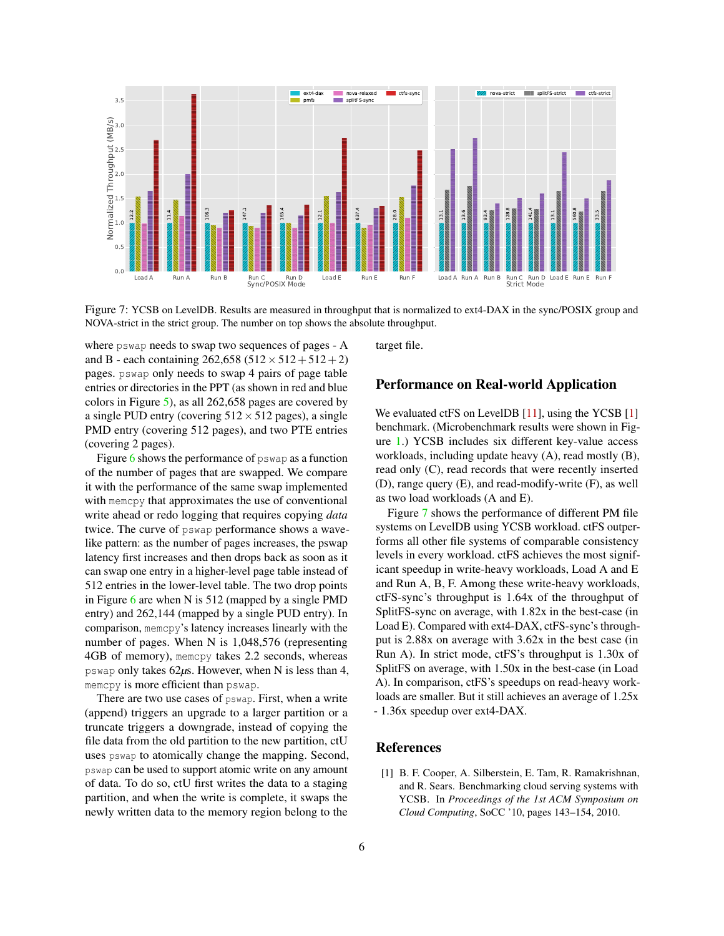

<span id="page-5-1"></span>Figure 7: YCSB on LevelDB. Results are measured in throughput that is normalized to ext4-DAX in the sync/POSIX group and NOVA-strict in the strict group. The number on top shows the absolute throughput.

where pswap needs to swap two sequences of pages - A and B - each containing  $262,658$  ( $512 \times 512 + 512 + 2$ ) pages. pswap only needs to swap 4 pairs of page table entries or directories in the PPT (as shown in red and blue colors in Figure [5\)](#page-4-0), as all 262,658 pages are covered by a single PUD entry (covering  $512 \times 512$  pages), a single PMD entry (covering 512 pages), and two PTE entries (covering 2 pages).

Figure [6](#page-4-1) shows the performance of pswap as a function of the number of pages that are swapped. We compare it with the performance of the same swap implemented with memcpy that approximates the use of conventional write ahead or redo logging that requires copying *data* twice. The curve of pswap performance shows a wavelike pattern: as the number of pages increases, the pswap latency first increases and then drops back as soon as it can swap one entry in a higher-level page table instead of 512 entries in the lower-level table. The two drop points in Figure [6](#page-4-1) are when N is 512 (mapped by a single PMD entry) and 262,144 (mapped by a single PUD entry). In comparison, memcpy's latency increases linearly with the number of pages. When N is 1,048,576 (representing 4GB of memory), memcpy takes 2.2 seconds, whereas pswap only takes 62*µ*s. However, when N is less than 4, memcpy is more efficient than pswap.

There are two use cases of pswap. First, when a write (append) triggers an upgrade to a larger partition or a truncate triggers a downgrade, instead of copying the file data from the old partition to the new partition, ctU uses pswap to atomically change the mapping. Second, pswap can be used to support atomic write on any amount of data. To do so, ctU first writes the data to a staging partition, and when the write is complete, it swaps the newly written data to the memory region belong to the

target file.

#### Performance on Real-world Application

We evaluated ctFS on LevelDB [\[11\]](#page-6-14), using the YCSB [\[1\]](#page-5-0) benchmark. (Microbenchmark results were shown in Figure [1.](#page-2-0)) YCSB includes six different key-value access workloads, including update heavy (A), read mostly (B), read only (C), read records that were recently inserted (D), range query (E), and read-modify-write (F), as well as two load workloads (A and E).

Figure [7](#page-5-1) shows the performance of different PM file systems on LevelDB using YCSB workload. ctFS outperforms all other file systems of comparable consistency levels in every workload. ctFS achieves the most significant speedup in write-heavy workloads, Load A and E and Run A, B, F. Among these write-heavy workloads, ctFS-sync's throughput is 1.64x of the throughput of SplitFS-sync on average, with 1.82x in the best-case (in Load E). Compared with ext4-DAX, ctFS-sync's throughput is 2.88x on average with 3.62x in the best case (in Run A). In strict mode, ctFS's throughput is 1.30x of SplitFS on average, with 1.50x in the best-case (in Load A). In comparison, ctFS's speedups on read-heavy workloads are smaller. But it still achieves an average of 1.25x - 1.36x speedup over ext4-DAX.

#### References

<span id="page-5-0"></span>[1] B. F. Cooper, A. Silberstein, E. Tam, R. Ramakrishnan, and R. Sears. Benchmarking cloud serving systems with YCSB. In *Proceedings of the 1st ACM Symposium on Cloud Computing*, SoCC '10, pages 143–154, 2010.